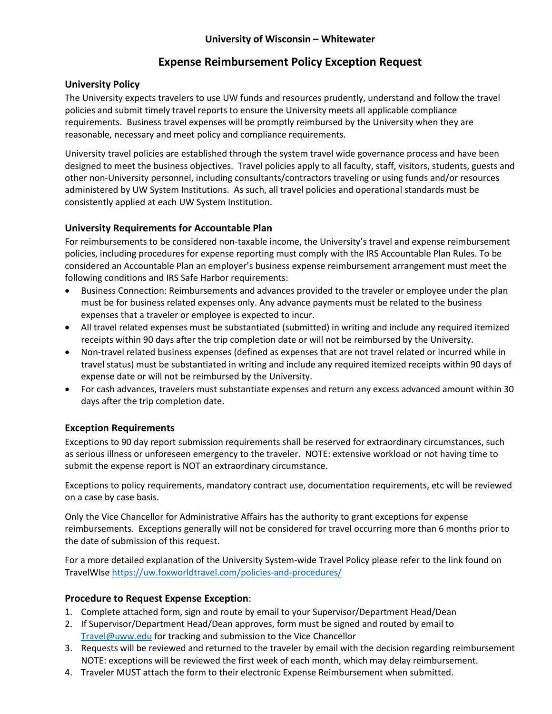### **University of Wisconsin – Whitewater**

## **Expense Reimbursement Policy Exception Request**

#### **University Policy**

The University expects travelers to use UW funds and resources prudently, understand and follow the travel policies and submit timely travel reports to ensure the University meets all applicable compliance requirements. Business travel expenses will be promptly reimbursed by the University when they are reasonable, necessary and meet policy and compliance requirements.

University travel policies are established through the system travel wide governance process and have been designed to meet the business objectives. Travel policies apply to all faculty, staff, visitors, students, guests and other non-University personnel, including consultants/contractors traveling or using funds and/or resources administered by UW System Institutions. As such, all travel policies and operational standards must be consistently applied at each UW System Institution.

#### **University Requirements for Accountable Plan**

For reimbursements to be considered non-taxable income, the University's travel and expense reimbursement policies, including procedures for expense reporting must comply with the IRS Accountable Plan Rules. To be considered an Accountable Plan an employer's business expense reimbursement arrangement must meet the following conditions and IRS Safe Harbor requirements:

- Business Connection: Reimbursements and advances provided to the traveler or employee under the plan must be for business related expenses only. Any advance payments must be related to the business expenses that a traveler or employee is expected to incur.
- All travel related expenses must be substantiated (submitted) in writing and include any required itemized receipts within 90 days after the trip completion date or will not be reimbursed by the University.
- Non-travel related business expenses (defined as expenses that are not travel related or incurred while in travel status) must be substantiated in writing and include any required itemized receipts within 90 days of expense date or will not be reimbursed by the University.
- For cash advances, travelers must substantiate expenses and return any excess advanced amount within 30 days after the trip completion date.

#### **Exception Requirements**

Exceptions to 90 day report submission requirements shall be reserved for extraordinary circumstances, such as serious illness or unforeseen emergency to the traveler. NOTE: extensive workload or not having time to submit the expense report is NOT an extraordinary circumstance.

Exceptions to policy requirements, mandatory contract use, documentation requirements, etc will be reviewed on a case by case basis.

Only the Vice Chancellor for Administrative Affairs has the authority to grant exceptions for expense reimbursements. Exceptions generally will not be considered for travel occurring more than 6 months prior to the date of submission of this request.

For a more detailed explanation of the University System-wide Travel Policy please refer to the link found on TravelWIse https://uw.foxworldtravel.com/policies-and-procedures/

#### **Procedure to Request Expense Exception**:

- 1. Complete attached form, sign and route by email to your Supervisor/Department Head/Dean
- 2. If Supervisor/Department Head/Dean approves, form must be signed and routed by email to Travel@uww.edu for tracking and submission to the Vice Chancellor
- 3. Requests will be reviewed and returned to the traveler by email with the decision regarding reimbursement NOTE: exceptions will be reviewed the first week of each month, which may delay reimbursement.
- 4. Traveler MUST attach the form to their electronic Expense Reimbursement when submitted.